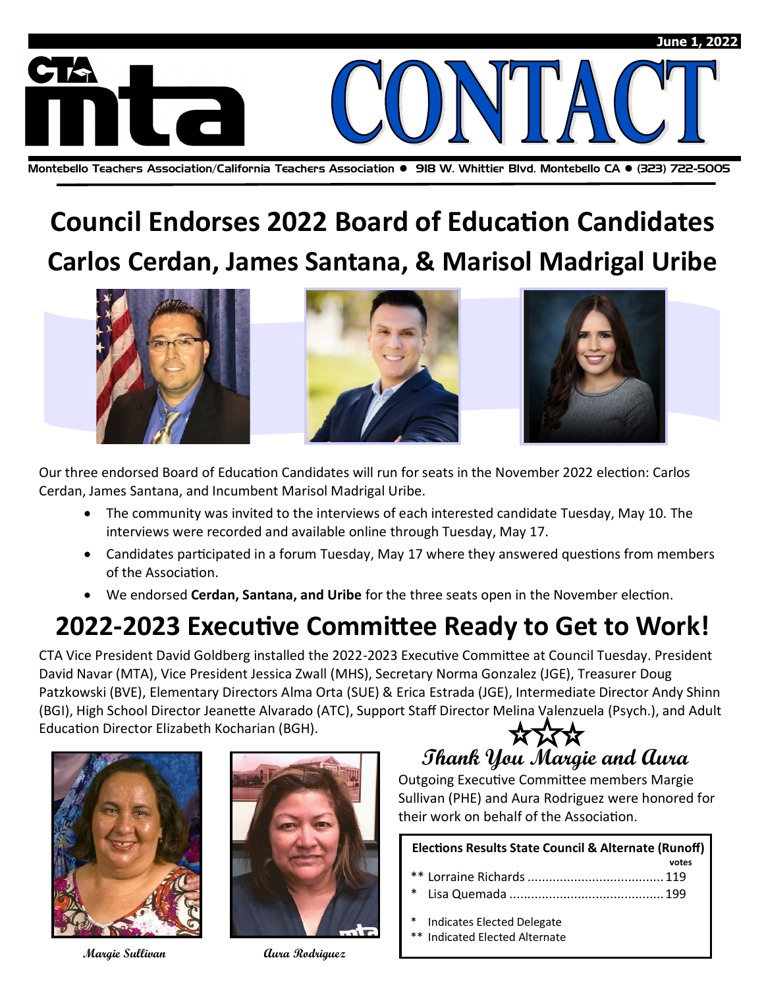

## **Council Endorses 2022 Board of Education Candidates Carlos Cerdan, James Santana, & Marisol Madrigal Uribe**



Our three endorsed Board of Education Candidates will run for seats in the November 2022 election: Carlos Cerdan, James Santana, and Incumbent Marisol Madrigal Uribe.

- The community was invited to the interviews of each interested candidate Tuesday, May 10. The interviews were recorded and available online through Tuesday, May 17.
- Candidates participated in a forum Tuesday, May 17 where they answered questions from members of the Association.
- We endorsed **Cerdan, Santana, and Uribe** for the three seats open in the November election.

### **2022-2023 Executive Committee Ready to Get to Work!**

CTA Vice President David Goldberg installed the 2022-2023 Executive Committee at Council Tuesday. President David Navar (MTA), Vice President Jessica Zwall (MHS), Secretary Norma Gonzalez (JGE), Treasurer Doug Patzkowski (BVE), Elementary Directors Alma Orta (SUE) & Erica Estrada (JGE), Intermediate Director Andy Shinn (BGI), High School Director Jeanette Alvarado (ATC), Support Staff Director Melina Valenzuela (Psych.), and Adult Education Director Elizabeth Kocharian (BGH).





Outgoing Executive Committee members Margie Sullivan (PHE) and Aura Rodriguez were honored for their work on behalf of the Association.

| <b>Elections Results State Council &amp; Alternate (Runoff)</b> |       |
|-----------------------------------------------------------------|-------|
|                                                                 | votes |

- \*\* Lorraine Richards......................................119
- \* Lisa Quemada ...........................................199
- Indicates Elected Delegate
- \*\* Indicated Elected Alternate

*Margie Sullivan* **Aura Rodriguez**